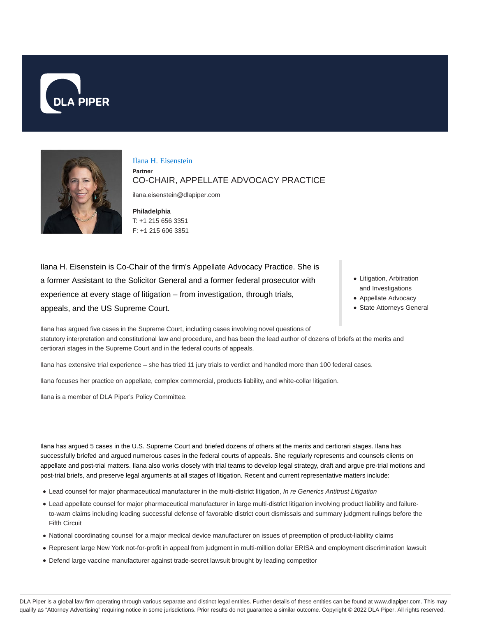



Ilana H. Eisenstein

**Partner** CO-CHAIR, APPELLATE ADVOCACY PRACTICE

ilana.eisenstein@dlapiper.com

**Philadelphia** T: +1 215 656 3351 F: +1 215 606 3351

Ilana H. Eisenstein is Co-Chair of the firm's Appellate Advocacy Practice. She is a former Assistant to the Solicitor General and a former federal prosecutor with experience at every stage of litigation – from investigation, through trials, appeals, and the US Supreme Court.

- Litigation, Arbitration and Investigations
- Appellate Advocacy
- State Attorneys General

Ilana has argued five cases in the Supreme Court, including cases involving novel questions of statutory interpretation and constitutional law and procedure, and has been the lead author of dozens of briefs at the merits and certiorari stages in the Supreme Court and in the federal courts of appeals.

Ilana has extensive trial experience – she has tried 11 jury trials to verdict and handled more than 100 federal cases.

Ilana focuses her practice on appellate, complex commercial, products liability, and white-collar litigation.

Ilana is a member of DLA Piper's Policy Committee.

Ilana has argued 5 cases in the U.S. Supreme Court and briefed dozens of others at the merits and certiorari stages. Ilana has successfully briefed and argued numerous cases in the federal courts of appeals. She regularly represents and counsels clients on appellate and post-trial matters. Ilana also works closely with trial teams to develop legal strategy, draft and argue pre-trial motions and post-trial briefs, and preserve legal arguments at all stages of litigation. Recent and current representative matters include:

- Lead counsel for major pharmaceutical manufacturer in the multi-district litigation, In re Generics Antitrust Litigation
- Lead appellate counsel for major pharmaceutical manufacturer in large multi-district litigation involving product liability and failureto-warn claims including leading successful defense of favorable district court dismissals and summary judgment rulings before the Fifth Circuit
- National coordinating counsel for a major medical device manufacturer on issues of preemption of product-liability claims
- Represent large New York not-for-profit in appeal from judgment in multi-million dollar ERISA and employment discrimination lawsuit
- Defend large vaccine manufacturer against trade-secret lawsuit brought by leading competitor

DLA Piper is a global law firm operating through various separate and distinct legal entities. Further details of these entities can be found at www.dlapiper.com. This may qualify as "Attorney Advertising" requiring notice in some jurisdictions. Prior results do not guarantee a similar outcome. Copyright @ 2022 DLA Piper. All rights reserved.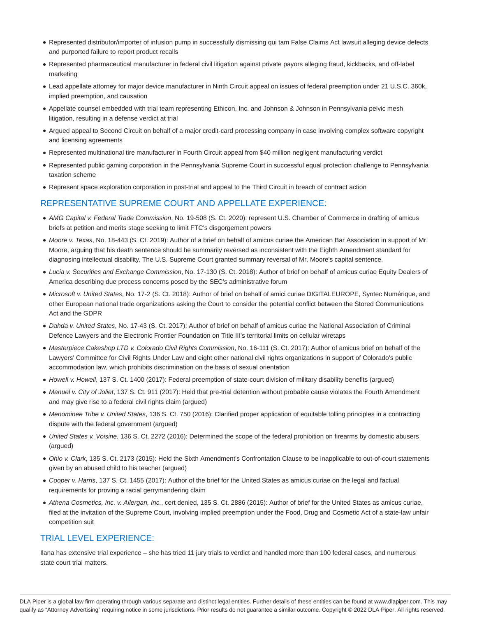- Represented distributor/importer of infusion pump in successfully dismissing qui tam False Claims Act lawsuit alleging device defects and purported failure to report product recalls
- Represented pharmaceutical manufacturer in federal civil litigation against private payors alleging fraud, kickbacks, and off-label marketing
- Lead appellate attorney for major device manufacturer in Ninth Circuit appeal on issues of federal preemption under 21 U.S.C. 360k, implied preemption, and causation
- Appellate counsel embedded with trial team representing Ethicon, Inc. and Johnson & Johnson in Pennsylvania pelvic mesh litigation, resulting in a defense verdict at trial
- Argued appeal to Second Circuit on behalf of a major credit-card processing company in case involving complex software copyright and licensing agreements
- Represented multinational tire manufacturer in Fourth Circuit appeal from \$40 million negligent manufacturing verdict
- Represented public gaming corporation in the Pennsylvania Supreme Court in successful equal protection challenge to Pennsylvania taxation scheme
- Represent space exploration corporation in post-trial and appeal to the Third Circuit in breach of contract action

### REPRESENTATIVE SUPREME COURT AND APPELLATE EXPERIENCE:

- AMG Capital v. Federal Trade Commission, No. 19-508 (S. Ct. 2020): represent U.S. Chamber of Commerce in drafting of amicus briefs at petition and merits stage seeking to limit FTC's disgorgement powers
- Moore v. Texas, No. 18-443 (S. Ct. 2019): Author of a brief on behalf of amicus curiae the American Bar Association in support of Mr. Moore, arguing that his death sentence should be summarily reversed as inconsistent with the Eighth Amendment standard for diagnosing intellectual disability. The U.S. Supreme Court granted summary reversal of Mr. Moore's capital sentence.
- Lucia v. Securities and Exchange Commission, No. 17-130 (S. Ct. 2018): Author of brief on behalf of amicus curiae Equity Dealers of America describing due process concerns posed by the SEC's administrative forum
- Microsoft v. United States, No. 17-2 (S. Ct. 2018): Author of brief on behalf of amici curiae DIGITALEUROPE, Syntec Numérique, and other European national trade organizations asking the Court to consider the potential conflict between the Stored Communications Act and the GDPR
- Dahda v. United States, No. 17-43 (S. Ct. 2017): Author of brief on behalf of amicus curiae the National Association of Criminal Defence Lawyers and the Electronic Frontier Foundation on Title III's territorial limits on cellular wiretaps
- Masterpiece Cakeshop LTD v. Colorado Civil Rights Commission, No. 16-111 (S. Ct. 2017): Author of amicus brief on behalf of the Lawyers' Committee for Civil Rights Under Law and eight other national civil rights organizations in support of Colorado's public accommodation law, which prohibits discrimination on the basis of sexual orientation
- Howell v. Howell, 137 S. Ct. 1400 (2017): Federal preemption of state-court division of military disability benefits (argued)
- Manuel v. City of Joliet, 137 S. Ct. 911 (2017): Held that pre-trial detention without probable cause violates the Fourth Amendment and may give rise to a federal civil rights claim (argued)
- Menominee Tribe v. United States, 136 S. Ct. 750 (2016): Clarified proper application of equitable tolling principles in a contracting dispute with the federal government (argued)
- United States v. Voisine, 136 S. Ct. 2272 (2016): Determined the scope of the federal prohibition on firearms by domestic abusers (argued)
- Ohio v. Clark, 135 S. Ct. 2173 (2015): Held the Sixth Amendment's Confrontation Clause to be inapplicable to out-of-court statements given by an abused child to his teacher (argued)
- Cooper v. Harris, 137 S. Ct. 1455 (2017): Author of the brief for the United States as amicus curiae on the legal and factual requirements for proving a racial gerrymandering claim
- Athena Cosmetics, Inc. v. Allergan, Inc., cert denied, 135 S. Ct. 2886 (2015): Author of brief for the United States as amicus curiae, filed at the invitation of the Supreme Court, involving implied preemption under the Food, Drug and Cosmetic Act of a state-law unfair competition suit

## TRIAL LEVEL EXPERIENCE:

Ilana has extensive trial experience – she has tried 11 jury trials to verdict and handled more than 100 federal cases, and numerous state court trial matters.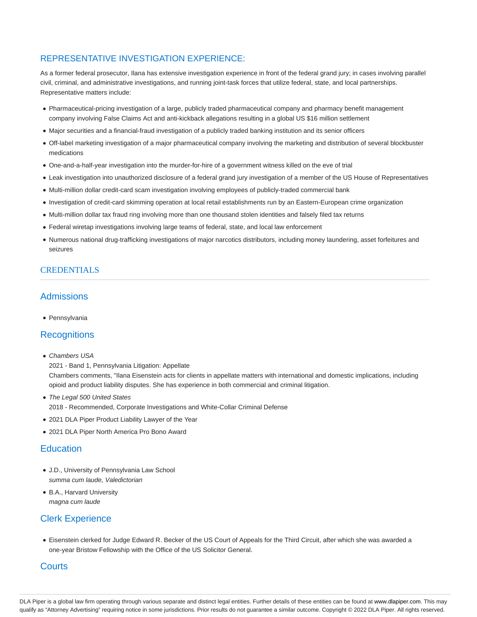# REPRESENTATIVE INVESTIGATION EXPERIENCE:

As a former federal prosecutor, Ilana has extensive investigation experience in front of the federal grand jury; in cases involving parallel civil, criminal, and administrative investigations, and running joint-task forces that utilize federal, state, and local partnerships. Representative matters include:

- Pharmaceutical-pricing investigation of a large, publicly traded pharmaceutical company and pharmacy benefit management company involving False Claims Act and anti-kickback allegations resulting in a global US \$16 million settlement
- Major securities and a financial-fraud investigation of a publicly traded banking institution and its senior officers
- Off-label marketing investigation of a major pharmaceutical company involving the marketing and distribution of several blockbuster medications
- One-and-a-half-year investigation into the murder-for-hire of a government witness killed on the eve of trial
- Leak investigation into unauthorized disclosure of a federal grand jury investigation of a member of the US House of Representatives
- Multi-million dollar credit-card scam investigation involving employees of publicly-traded commercial bank
- Investigation of credit-card skimming operation at local retail establishments run by an Eastern-European crime organization
- Multi-million dollar tax fraud ring involving more than one thousand stolen identities and falsely filed tax returns
- Federal wiretap investigations involving large teams of federal, state, and local law enforcement
- Numerous national drug-trafficking investigations of major narcotics distributors, including money laundering, asset forfeitures and seizures

## CREDENTIALS

## **Admissions**

• Pennsylvania

## **Recognitions**

• Chambers USA

2021 - Band 1, Pennsylvania Litigation: Appellate

Chambers comments, "Ilana Eisenstein acts for clients in appellate matters with international and domestic implications, including opioid and product liability disputes. She has experience in both commercial and criminal litigation.

- The Legal 500 United States 2018 - Recommended, Corporate Investigations and White-Collar Criminal Defense
- 2021 DLA Piper Product Liability Lawyer of the Year
- 2021 DLA Piper North America Pro Bono Award

## **Education**

- J.D., University of Pennsylvania Law School summa cum laude, Valedictorian
- B.A., Harvard University magna cum laude

# Clerk Experience

Eisenstein clerked for Judge Edward R. Becker of the US Court of Appeals for the Third Circuit, after which she was awarded a one-year Bristow Fellowship with the Office of the US Solicitor General.

## **Courts**

DLA Piper is a global law firm operating through various separate and distinct legal entities. Further details of these entities can be found at www.dlapiper.com. This may qualify as "Attorney Advertising" requiring notice in some jurisdictions. Prior results do not guarantee a similar outcome. Copyright @ 2022 DLA Piper. All rights reserved.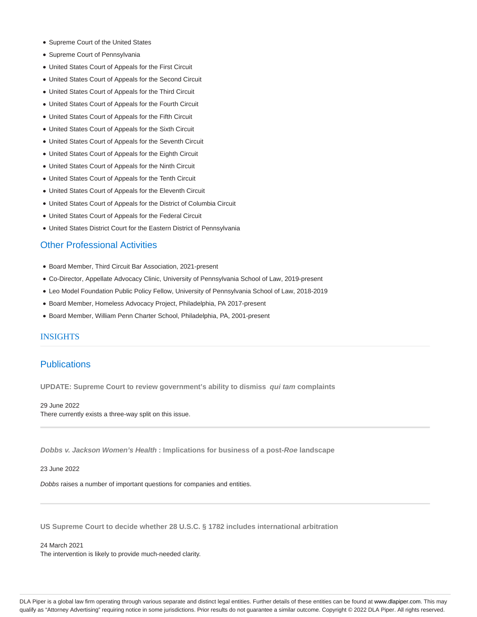- Supreme Court of the United States
- Supreme Court of Pennsylvania
- United States Court of Appeals for the First Circuit
- United States Court of Appeals for the Second Circuit
- United States Court of Appeals for the Third Circuit
- United States Court of Appeals for the Fourth Circuit
- United States Court of Appeals for the Fifth Circuit
- United States Court of Appeals for the Sixth Circuit
- United States Court of Appeals for the Seventh Circuit
- United States Court of Appeals for the Eighth Circuit
- United States Court of Appeals for the Ninth Circuit
- United States Court of Appeals for the Tenth Circuit
- United States Court of Appeals for the Eleventh Circuit
- United States Court of Appeals for the District of Columbia Circuit
- United States Court of Appeals for the Federal Circuit
- United States District Court for the Eastern District of Pennsylvania

## Other Professional Activities

- Board Member, Third Circuit Bar Association, 2021-present
- Co-Director, Appellate Advocacy Clinic, University of Pennsylvania School of Law, 2019-present
- Leo Model Foundation Public Policy Fellow, University of Pennsylvania School of Law, 2018-2019
- Board Member, Homeless Advocacy Project, Philadelphia, PA 2017-present
- Board Member, William Penn Charter School, Philadelphia, PA, 2001-present

### INSIGHTS

## **Publications**

**UPDATE: Supreme Court to review government's ability to dismiss qui tam complaints**

29 June 2022

There currently exists a three-way split on this issue.

**Dobbs v. Jackson Women's Health : Implications for business of a post-Roe landscape**

#### 23 June 2022

Dobbs raises a number of important questions for companies and entities.

**US Supreme Court to decide whether 28 U.S.C. § 1782 includes international arbitration**

24 March 2021 The intervention is likely to provide much-needed clarity.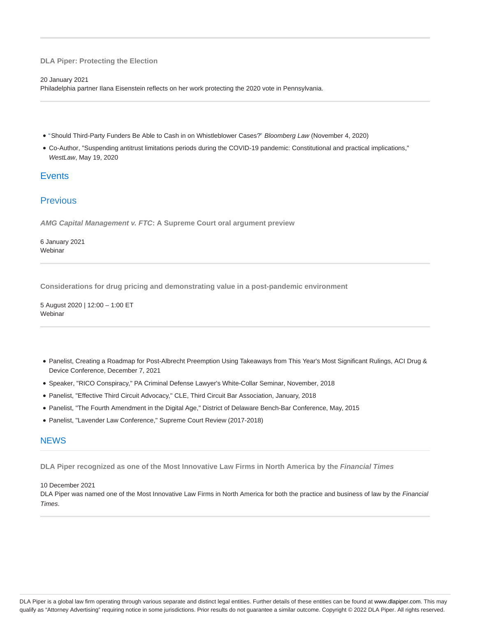### **DLA Piper: Protecting the Election**

#### 20 January 2021

Philadelphia partner Ilana Eisenstein reflects on her work protecting the 2020 vote in Pennsylvania.

- "Should Third-Party Funders Be Able to Cash in on Whistleblower Cases?" Bloomberg Law (November 4, 2020)
- Co-Author, "Suspending antitrust limitations periods during the COVID-19 pandemic: Constitutional and practical implications," WestLaw, May 19, 2020

## **Events**

# **Previous**

**AMG Capital Management v. FTC: A Supreme Court oral argument preview**

6 January 2021 **Webinar** 

**Considerations for drug pricing and demonstrating value in a post-pandemic environment**

5 August 2020 | 12:00 – 1:00 ET Webinar

- Panelist, Creating a Roadmap for Post-Albrecht Preemption Using Takeaways from This Year's Most Significant Rulings, ACI Drug & Device Conference, December 7, 2021
- Speaker, "RICO Conspiracy," PA Criminal Defense Lawyer's White-Collar Seminar, November, 2018
- Panelist, "Effective Third Circuit Advocacy," CLE, Third Circuit Bar Association, January, 2018
- Panelist, "The Fourth Amendment in the Digital Age," District of Delaware Bench-Bar Conference, May, 2015
- Panelist, "Lavender Law Conference," Supreme Court Review (2017-2018)

## **NEWS**

**DLA Piper recognized as one of the Most Innovative Law Firms in North America by the Financial Times**

10 December 2021

DLA Piper was named one of the Most Innovative Law Firms in North America for both the practice and business of law by the Financial Times.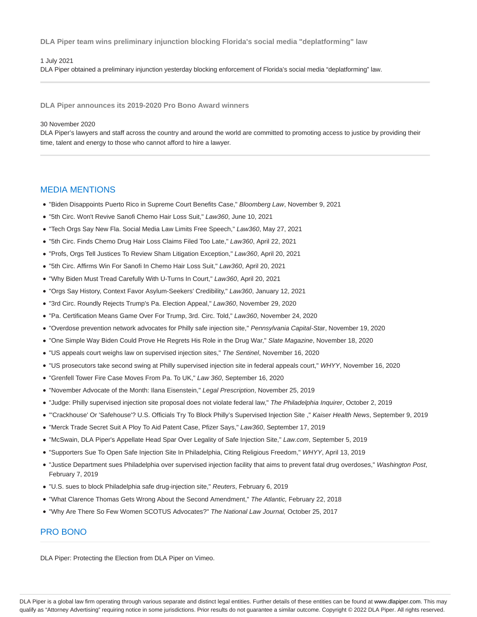**DLA Piper team wins preliminary injunction blocking Florida's social media "deplatforming" law**

#### 1 July 2021

DLA Piper obtained a preliminary injunction yesterday blocking enforcement of Florida's social media "deplatforming" law.

**DLA Piper announces its 2019-2020 Pro Bono Award winners**

### 30 November 2020

DLA Piper's lawyers and staff across the country and around the world are committed to promoting access to justice by providing their time, talent and energy to those who cannot afford to hire a lawyer.

## MEDIA MENTIONS

"Biden Disappoints Puerto Rico in Supreme Court Benefits Case," Bloomberg Law, November 9, 2021

"5th Circ. Won't Revive Sanofi Chemo Hair Loss Suit," Law360, June 10, 2021

- "Tech Orgs Say New Fla. Social Media Law Limits Free Speech," Law360, May 27, 2021
- "5th Circ. Finds Chemo Drug Hair Loss Claims Filed Too Late," Law360, April 22, 2021
- "Profs, Orgs Tell Justices To Review Sham Litigation Exception," Law360, April 20, 2021
- "5th Circ. Affirms Win For Sanofi In Chemo Hair Loss Suit," Law360, April 20, 2021
- "Why Biden Must Tread Carefully With U-Turns In Court," Law360, April 20, 2021
- "Orgs Say History, Context Favor Asylum-Seekers' Credibility," Law360, January 12, 2021
- "3rd Circ. Roundly Rejects Trump's Pa. Election Appeal," Law360, November 29, 2020
- "Pa. Certification Means Game Over For Trump, 3rd. Circ. Told," Law360, November 24, 2020
- "Overdose prevention network advocates for Philly safe injection site," Pennsylvania Capital-Star, November 19, 2020
- "One Simple Way Biden Could Prove He Regrets His Role in the Drug War," Slate Magazine, November 18, 2020
- "US appeals court weighs law on supervised injection sites," The Sentinel, November 16, 2020
- "US prosecutors take second swing at Philly supervised injection site in federal appeals court," WHYY, November 16, 2020
- "Grenfell Tower Fire Case Moves From Pa. To UK," Law 360, September 16, 2020
- "November Advocate of the Month: Ilana Eisenstein," Legal Prescription, November 25, 2019
- . "Judge: Philly supervised injection site proposal does not violate federal law," The Philadelphia Inquirer, October 2, 2019
- "'Crackhouse' Or 'Safehouse'? U.S. Officials Try To Block Philly's Supervised Injection Site ," Kaiser Health News, September 9, 2019
- "Merck Trade Secret Suit A Ploy To Aid Patent Case, Pfizer Says," Law360, September 17, 2019
- "McSwain, DLA Piper's Appellate Head Spar Over Legality of Safe Injection Site," Law.com, September 5, 2019
- "Supporters Sue To Open Safe Injection Site In Philadelphia, Citing Religious Freedom," WHYY, April 13, 2019
- . "Justice Department sues Philadelphia over supervised injection facility that aims to prevent fatal drug overdoses," Washington Post, February 7, 2019
- "U.S. sues to block Philadelphia safe drug-injection site," Reuters, February 6, 2019
- "What Clarence Thomas Gets Wrong About the Second Amendment," The Atlantic, February 22, 2018
- "Why Are There So Few Women SCOTUS Advocates?" The National Law Journal, October 25, 2017

## PRO BONO

DLA Piper: Protecting the Election from DLA Piper on Vimeo.